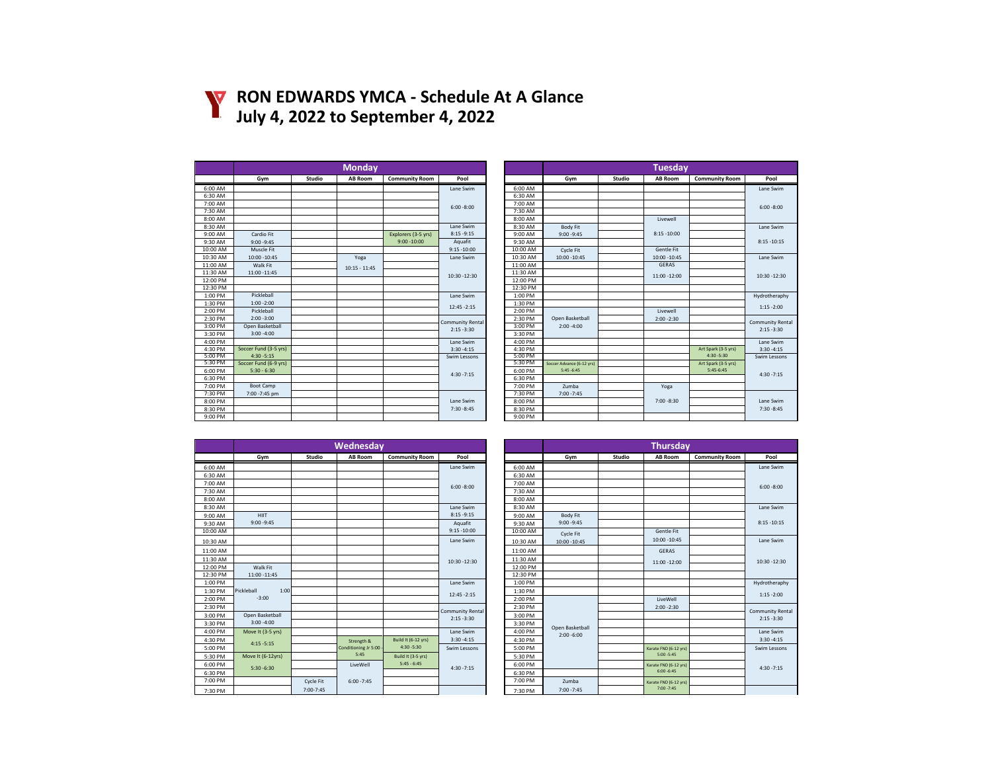

## **RON EDWARDS YMCA - Schedule At A Glance July 4, 2022 to September 4, 2022**

|          |                       |        | <b>Monday</b>   |                       |                  |          |                           |        | <b>Tuesday</b> |                       |                 |
|----------|-----------------------|--------|-----------------|-----------------------|------------------|----------|---------------------------|--------|----------------|-----------------------|-----------------|
|          | Gym                   | Studio | <b>AB Room</b>  | <b>Community Room</b> | Pool             |          | Gym                       | Studio | <b>AB Room</b> | <b>Community Room</b> | Pool            |
| 6:00 AM  |                       |        |                 |                       | Lane Swim        | 6:00 AM  |                           |        |                |                       | Lane Swim       |
| 6:30 AM  |                       |        |                 |                       |                  | 6:30 AM  |                           |        |                |                       |                 |
| 7:00 AM  |                       |        |                 |                       | $6:00 - 8:00$    | 7:00 AM  |                           |        |                |                       | $6:00 - 8:00$   |
| 7:30 AM  |                       |        |                 |                       |                  | 7:30 AM  |                           |        |                |                       |                 |
| 8:00 AM  |                       |        |                 |                       |                  | 8:00 AM  |                           |        | Livewell       |                       |                 |
| 8:30 AM  |                       |        |                 |                       | Lane Swim        | 8:30 AM  | Body Fit                  |        |                |                       | Lane Swim       |
| 9:00 AM  | Cardio Fit            |        |                 | Explorers (3-5 yrs)   | $8:15 - 9:15$    | 9:00 AM  | $9:00 - 9:45$             |        | $8:15 - 10:00$ |                       |                 |
| 9:30 AM  | $9:00 - 9:45$         |        |                 | $9:00 - 10:00$        | Aquafit          | 9:30 AM  |                           |        |                |                       | $8:15 - 10:15$  |
| 10:00 AM | Muscle Fit            |        |                 |                       | $9:15 - 10:00$   | 10:00 AM | Cycle Fit                 |        | Gentle Fit     |                       |                 |
| 10:30 AM | 10:00 - 10:45         |        | Yoga            |                       | Lane Swim        | 10:30 AM | 10:00 - 10:45             |        | 10:00 - 10:45  |                       | Lane Swim       |
| 11:00 AM | Walk Fit              |        | $10:15 - 11:45$ |                       |                  | 11:00 AM |                           |        | GERAS          |                       |                 |
| 11:30 AM | 11:00 -11:45          |        |                 |                       | 10:30 -12:30     | 11:30 AM |                           |        | 11:00 -12:00   |                       | $10:30 - 12:30$ |
| 12:00 PM |                       |        |                 |                       |                  | 12:00 PM |                           |        |                |                       |                 |
| 12:30 PM |                       |        |                 |                       |                  | 12:30 PM |                           |        |                |                       |                 |
| 1:00 PM  | Pickleball            |        |                 |                       | Lane Swim        | 1:00 PM  |                           |        |                |                       | Hydrotherapl    |
| 1:30 PM  | $1:00 - 2:00$         |        |                 |                       | 12:45 - 2:15     | 1:30 PM  |                           |        |                |                       | $1:15 - 2:00$   |
| 2:00 PM  | Pickleball            |        |                 |                       |                  | 2:00 PM  |                           |        | Livewell       |                       |                 |
| 2:30 PM  | $2:00 - 3:00$         |        |                 |                       | Community Rental | 2:30 PM  | Open Basketball           |        | $2:00 - 2:30$  |                       | Community Re    |
| 3:00 PM  | Open Basketball       |        |                 |                       | $2:15 - 3:30$    | 3:00 PM  | $2:00 - 4:00$             |        |                |                       | $2:15 - 3:30$   |
| 3:30 PM  | $3:00 - 4:00$         |        |                 |                       |                  | 3:30 PM  |                           |        |                |                       |                 |
| 4:00 PM  |                       |        |                 |                       | Lane Swim        | 4:00 PM  |                           |        |                |                       | Lane Swim       |
| 4:30 PM  | Soccer Fund (3-5 yrs) |        |                 |                       | $3:30 - 4:15$    | 4:30 PM  |                           |        |                | Art Spark (3-5 yrs)   | $3:30 - 4:15$   |
| 5:00 PM  | $4:30 - 5:15$         |        |                 |                       | Swim Lessons     | 5:00 PM  |                           |        |                | 4:30 -5:30            | Swim Lesson     |
| 5:30 PM  | Soccer Fund (6-9 yrs) |        |                 |                       |                  | 5:30 PM  | Soccer Advance (6-12 yrs) |        |                | Art Spark (3-5 yrs)   |                 |
| 6:00 PM  | $5:30 - 6:30$         |        |                 |                       | $4:30 - 7:15$    | 6:00 PM  | $5:45 - 6:45$             |        |                | $5:45-6:45$           | $4:30 - 7:15$   |
| 6:30 PM  |                       |        |                 |                       |                  | 6:30 PM  |                           |        |                |                       |                 |
| 7:00 PM  | Boot Camp             |        |                 |                       |                  | 7:00 PM  | Zumba                     |        | Yoga           |                       |                 |
| 7:30 PM  | 7:00 -7:45 pm         |        |                 |                       |                  | 7:30 PM  | $7:00 - 7:45$             |        |                |                       |                 |
| 8:00 PM  |                       |        |                 |                       | Lane Swim        | 8:00 PM  |                           |        | $7:00 - 8:30$  |                       | Lane Swim       |
| 8:30 PM  |                       |        |                 |                       | $7:30 - 8:45$    | 8:30 PM  |                           |        |                |                       | $7:30 - 8:45$   |
| 9:00 PM  |                       |        |                 |                       |                  | 9:00 PM  |                           |        |                |                       |                 |

|                   |                       |        | <b>Monday</b>   |                       |                         |          | <b>Tuesday</b>            |        |                |                       |                         |  |
|-------------------|-----------------------|--------|-----------------|-----------------------|-------------------------|----------|---------------------------|--------|----------------|-----------------------|-------------------------|--|
|                   | Gym                   | Studio | AB Room         | <b>Community Room</b> | Pool                    |          | Gym                       | Studio | AB Room        | <b>Community Room</b> | Pool                    |  |
| $6:00 \text{ AM}$ |                       |        |                 |                       | Lane Swim               | 6:00 AM  |                           |        |                |                       | Lane Swim               |  |
| 6:30 AM           |                       |        |                 |                       |                         | 6:30 AM  |                           |        |                |                       |                         |  |
| 7:00 AM           |                       |        |                 |                       | $6:00 - 8:00$           | 7:00 AM  |                           |        |                |                       | $6:00 - 8:00$           |  |
| 7:30 AM           |                       |        |                 |                       |                         | 7:30 AM  |                           |        |                |                       |                         |  |
| MA 00:8           |                       |        |                 |                       |                         | 8:00 AM  |                           |        | Livewell       |                       |                         |  |
| 8:30 AM           |                       |        |                 |                       | Lane Swim               | 8:30 AM  | Body Fit                  |        |                |                       | Lane Swim               |  |
| 0:00 AM           | Cardio Fit            |        |                 | Explorers (3-5 yrs)   | $8:15 - 9:15$           | 9:00 AM  | $9:00 - 9:45$             |        | $8:15 - 10:00$ |                       |                         |  |
| 9:30 AM           | $9:00 - 9:45$         |        |                 | $9:00 - 10:00$        | Aquafit                 | 9:30 AM  |                           |        |                |                       | $8:15 - 10:15$          |  |
| MA 00:01          | Muscle Fit            |        |                 |                       | $9:15 - 10:00$          | 10:00 AM | Cycle Fit                 |        | Gentle Fit     |                       |                         |  |
| 0:30 AM           | 10:00 - 10:45         |        | Yoga            |                       | Lane Swim               | 10:30 AM | 10:00 - 10:45             |        | 10:00 - 10:45  |                       | Lane Swim               |  |
| 1:00 AM           | Walk Fit              |        | $10:15 - 11:45$ |                       |                         | 11:00 AM |                           |        | <b>GERAS</b>   |                       |                         |  |
| 1:30 AM           | 11:00 -11:45          |        |                 |                       | 10:30 -12:30            | 11:30 AM |                           |        | 11:00 -12:00   |                       | 10:30 -12:30            |  |
| 2:00 PM           |                       |        |                 |                       |                         | 12:00 PM |                           |        |                |                       |                         |  |
| 12:30 PM          |                       |        |                 |                       |                         | 12:30 PM |                           |        |                |                       |                         |  |
| 1:00 PM           | Pickleball            |        |                 |                       | Lane Swim               | 1:00 PM  |                           |        |                |                       | Hydrotheraphy           |  |
| 1:30 PM           | $1:00 - 2:00$         |        |                 |                       | $12:45 - 2:15$          | 1:30 PM  |                           |        |                |                       | $1:15 - 2:00$           |  |
| 2:00 PM           | Pickleball            |        |                 |                       |                         | 2:00 PM  |                           |        | Livewell       |                       |                         |  |
| 2:30 PM           | $2:00 - 3:00$         |        |                 |                       | <b>Community Rental</b> | 2:30 PM  | Open Basketball           |        | $2:00 - 2:30$  |                       | <b>Community Rental</b> |  |
| 3:00 PM           | Open Basketball       |        |                 |                       | $2:15 - 3:30$           | 3:00 PM  | $2:00 - 4:00$             |        |                |                       | $2:15 - 3:30$           |  |
| 3:30 PM           | $3:00 - 4:00$         |        |                 |                       |                         | 3:30 PM  |                           |        |                |                       |                         |  |
| 4:00 PM           |                       |        |                 |                       | Lane Swim               | 4:00 PM  |                           |        |                |                       | Lane Swim               |  |
| 4:30 PM           | Soccer Fund (3-5 yrs) |        |                 |                       | $3:30 - 4:15$           | 4:30 PM  |                           |        |                | Art Spark (3-5 yrs)   | $3:30 - 4:15$           |  |
| 5:00 PM           | $4:30 - 5:15$         |        |                 |                       | Swim Lessons            | 5:00 PM  |                           |        |                | $4:30 - 5:30$         | Swim Lessons            |  |
| 5:30 PM           | Soccer Fund (6-9 yrs) |        |                 |                       |                         | 5:30 PM  | Soccer Advance (6-12 yrs) |        |                | Art Spark (3-5 yrs)   |                         |  |
| 6:00 PM           | $5:30 - 6:30$         |        |                 |                       | $4:30 - 7:15$           | 6:00 PM  | $5:45 - 6:45$             |        |                | $5:45-6:45$           | $4:30 - 7:15$           |  |
| 6:30 PM           |                       |        |                 |                       |                         | 6:30 PM  |                           |        |                |                       |                         |  |
| 7:00 PM           | Boot Camp             |        |                 |                       |                         | 7:00 PM  | Zumba                     |        | Yoga           |                       |                         |  |
| 7:30 PM           | 7:00 -7:45 pm         |        |                 |                       |                         | 7:30 PM  | $7:00 - 7:45$             |        |                |                       |                         |  |
| 8:00 PM           |                       |        |                 |                       | Lane Swim               | 8:00 PM  |                           |        | $7:00 - 8:30$  |                       | Lane Swim               |  |
| 8:30 PM           |                       |        |                 |                       | $7:30 - 8:45$           | 8:30 PM  |                           |        |                |                       | $7:30 - 8:45$           |  |
| 9:00 PM           |                       |        |                 |                       |                         | 9:00 PM  |                           |        |                |                       |                         |  |

|          |                    |           | <b>Wednesday</b>     |                       |                  |          |                 |        | <b>Thursday</b>       |                       |  |
|----------|--------------------|-----------|----------------------|-----------------------|------------------|----------|-----------------|--------|-----------------------|-----------------------|--|
|          | Gym                | Studio    | <b>AB Room</b>       | <b>Community Room</b> | Pool             |          | Gym             | Studio | <b>AB Room</b>        | <b>Community Room</b> |  |
| 6:00 AM  |                    |           |                      |                       | Lane Swim        | 6:00 AM  |                 |        |                       |                       |  |
| 6:30 AM  |                    |           |                      |                       |                  | 6:30 AM  |                 |        |                       |                       |  |
| 7:00 AM  |                    |           |                      |                       | $6:00 - 8:00$    | 7:00 AM  |                 |        |                       |                       |  |
| 7:30 AM  |                    |           |                      |                       |                  | 7:30 AM  |                 |        |                       |                       |  |
| 8:00 AM  |                    |           |                      |                       |                  | 8:00 AM  |                 |        |                       |                       |  |
| 8:30 AM  |                    |           |                      |                       | Lane Swim        | 8:30 AM  |                 |        |                       |                       |  |
| 9:00 AM  | <b>HIIT</b>        |           |                      |                       | $8:15 - 9:15$    | 9:00 AM  | Body Fit        |        |                       |                       |  |
| 9:30 AM  | $9:00 - 9:45$      |           |                      |                       | Aquafit          | 9:30 AM  | $9:00 - 9:45$   |        |                       |                       |  |
| 10:00 AM |                    |           |                      |                       | $9:15 - 10:00$   | 10:00 AM | Cycle Fit       |        | Gentle Fit            |                       |  |
| 10:30 AM |                    |           |                      |                       | Lane Swim        | 10:30 AM | 10:00 - 10:45   |        | 10:00 - 10:45         |                       |  |
| 11:00 AM |                    |           |                      |                       |                  | 11:00 AM |                 |        | GERAS                 |                       |  |
| 11:30 AM |                    |           |                      |                       | 10:30 -12:30     | 11:30 AM |                 |        | 11:00 -12:00          |                       |  |
| 12:00 PM | Walk Fit           |           |                      |                       |                  | 12:00 PM |                 |        |                       |                       |  |
| 12:30 PM | 11:00 -11:45       |           |                      |                       |                  | 12:30 PM |                 |        |                       |                       |  |
| 1:00 PM  |                    |           |                      |                       | Lane Swim        | 1:00 PM  |                 |        |                       |                       |  |
| 1:30 PM  | Pickleball<br>1:00 |           |                      |                       | $12:45 - 2:15$   | 1:30 PM  |                 |        |                       |                       |  |
| 2:00 PM  | $-3:00$            |           |                      |                       |                  | 2:00 PM  |                 |        | LiveWell              |                       |  |
| 2:30 PM  |                    |           |                      |                       | Community Rental | 2:30 PM  |                 |        | $2:00 - 2:30$         |                       |  |
| 3:00 PM  | Open Basketball    |           |                      |                       | $2:15 - 3:30$    | 3:00 PM  |                 |        |                       |                       |  |
| 3:30 PM  | $3:00 - 4:00$      |           |                      |                       |                  | 3:30 PM  | Open Basketball |        |                       |                       |  |
| 4:00 PM  | Move It (3-5 yrs)  |           |                      |                       | Lane Swim        | 4:00 PM  | $2:00 - 6:00$   |        |                       |                       |  |
| 4:30 PM  | $4:15 - 5:15$      |           | Strength &           | Build It (6-12 yrs)   | $3:30 - 4:15$    | 4:30 PM  |                 |        |                       |                       |  |
| 5:00 PM  |                    |           | Conditioning Jr 5:00 | 4:30 -5:30            | Swim Lessons     | 5:00 PM  |                 |        | Karate FND (6-12 yrs) |                       |  |
| 5:30 PM  | Move It (6-12yrs)  |           | 5:45                 | Build It (3-5 yrs)    |                  | 5:30 PM  |                 |        | $5:00 - 5:45$         |                       |  |
| 6:00 PM  | $5:30 - 6:30$      |           | LiveWell             | $5:45 - 6:45$         | $4:30 - 7:15$    | 6:00 PM  |                 |        | Karate FND (6-12 yrs) |                       |  |
| 6:30 PM  |                    |           |                      |                       |                  | 6:30 PM  |                 |        | $6:00 - 6:45$         |                       |  |
| 7:00 PM  |                    | Cycle Fit | $6:00 - 7:45$        |                       |                  | 7:00 PM  | Zumba           |        | Karate FND (6-12 yrs) |                       |  |
| 7:30 PM  |                    | 7:00-7:45 |                      |                       |                  | 7:30 PM  | $7:00 - 7:45$   |        | $7:00 - 7:45$         |                       |  |

|          |                    |           | Wednesday              |                       |                         |          | <b>Thursday</b> |        |                       |                       |                         |  |
|----------|--------------------|-----------|------------------------|-----------------------|-------------------------|----------|-----------------|--------|-----------------------|-----------------------|-------------------------|--|
|          | Gym                | Studio    | AB Room                | <b>Community Room</b> | Pool                    |          | Gym             | Studio | <b>AB Room</b>        | <b>Community Room</b> | Pool                    |  |
| 6:00 AM  |                    |           |                        |                       | Lane Swim               | 6:00 AM  |                 |        |                       |                       | Lane Swim               |  |
| 6:30 AM  |                    |           |                        |                       |                         | 6:30 AM  |                 |        |                       |                       |                         |  |
| 7:00 AM  |                    |           |                        |                       | $6:00 - 8:00$           | 7:00 AM  |                 |        |                       |                       | $6:00 - 8:00$           |  |
| 7:30 AM  |                    |           |                        |                       |                         | 7:30 AM  |                 |        |                       |                       |                         |  |
| MA 00:8  |                    |           |                        |                       |                         | 8:00 AM  |                 |        |                       |                       |                         |  |
| 8:30 AM  |                    |           |                        |                       | Lane Swim               | 8:30 AM  |                 |        |                       |                       | Lane Swim               |  |
| 9:00 AM  | <b>HIIT</b>        |           |                        |                       | $8:15 - 9:15$           | 9:00 AM  | <b>Body Fit</b> |        |                       |                       |                         |  |
| 9:30 AM  | $9:00 - 9:45$      |           |                        |                       | Aquafit                 | 9:30 AM  | $9:00 - 9:45$   |        |                       |                       | $8:15 - 10:15$          |  |
| MA 00:01 |                    |           |                        |                       | $9:15 - 10:00$          | 10:00 AM | Cycle Fit       |        | Gentle Fit            |                       |                         |  |
| 0:30 AM  |                    |           |                        |                       | Lane Swim               | 10:30 AM | 10:00 - 10:45   |        | 10:00 - 10:45         |                       | Lane Swim               |  |
| 1:00 AM  |                    |           |                        |                       |                         | 11:00 AM |                 |        | <b>GERAS</b>          |                       |                         |  |
| 1:30 AM  |                    |           |                        |                       | 10:30 -12:30            | 11:30 AM |                 |        | 11:00 -12:00          |                       | 10:30 -12:30            |  |
| 2:00 PM  | Walk Fit           |           |                        |                       |                         | 12:00 PM |                 |        |                       |                       |                         |  |
| 12:30 PM | 11:00 - 11:45      |           |                        |                       |                         | 12:30 PM |                 |        |                       |                       |                         |  |
| 1:00 PM  |                    |           |                        |                       | Lane Swim               | 1:00 PM  |                 |        |                       |                       | Hydrotheraphy           |  |
| 1:30 PM  | Pickleball<br>1:00 |           |                        |                       | $12:45 - 2:15$          | 1:30 PM  |                 |        |                       |                       | $1:15 - 2:00$           |  |
| 2:00 PM  | $-3:00$            |           |                        |                       |                         | 2:00 PM  |                 |        | LiveWell              |                       |                         |  |
| 2:30 PM  |                    |           |                        |                       | <b>Community Rental</b> | 2:30 PM  |                 |        | $2:00 - 2:30$         |                       | <b>Community Rental</b> |  |
| 3:00 PM  | Open Basketball    |           |                        |                       | $2:15 - 3:30$           | 3:00 PM  |                 |        |                       |                       | $2:15 - 3:30$           |  |
| 3:30 PM  | $3:00 - 4:00$      |           |                        |                       |                         | 3:30 PM  | Open Basketball |        |                       |                       |                         |  |
| 4:00 PM  | Move It (3-5 yrs)  |           |                        |                       | Lane Swim               | 4:00 PM  | $2:00 - 6:00$   |        |                       |                       | Lane Swim               |  |
| 4:30 PM  | $4:15 - 5:15$      |           | Strength &             | Build It (6-12 yrs)   | $3:30 - 4:15$           | 4:30 PM  |                 |        |                       |                       | $3:30 - 4:15$           |  |
| 5:00 PM  |                    |           | Conditioning Jr 5:00 - | $4:30 - 5:30$         | Swim Lessons            | 5:00 PM  |                 |        | Karate FND (6-12 yrs) |                       | Swim Lessons            |  |
| 5:30 PM  | Move It (6-12yrs)  |           | 5:45                   | Build It (3-5 yrs)    |                         | 5:30 PM  |                 |        | $5:00 - 5:45$         |                       |                         |  |
| 6:00 PM  | $5:30 - 6:30$      |           | LiveWell               | $5:45 - 6:45$         | $4:30 - 7:15$           | 6:00 PM  |                 |        | Karate FND (6-12 yrs) |                       | $4:30 - 7:15$           |  |
| 6:30 PM  |                    |           |                        |                       |                         | 6:30 PM  |                 |        | $6:00 - 6:45$         |                       |                         |  |
| 7:00 PM  |                    | Cycle Fit | $6:00 - 7:45$          |                       |                         | 7:00 PM  | Zumba           |        | Karate FND (6-12 yrs) |                       |                         |  |
| 7:30 PM  |                    | 7:00-7:45 |                        |                       |                         | 7:30 PM  | $7:00 - 7:45$   |        | $7:00 - 7:45$         |                       |                         |  |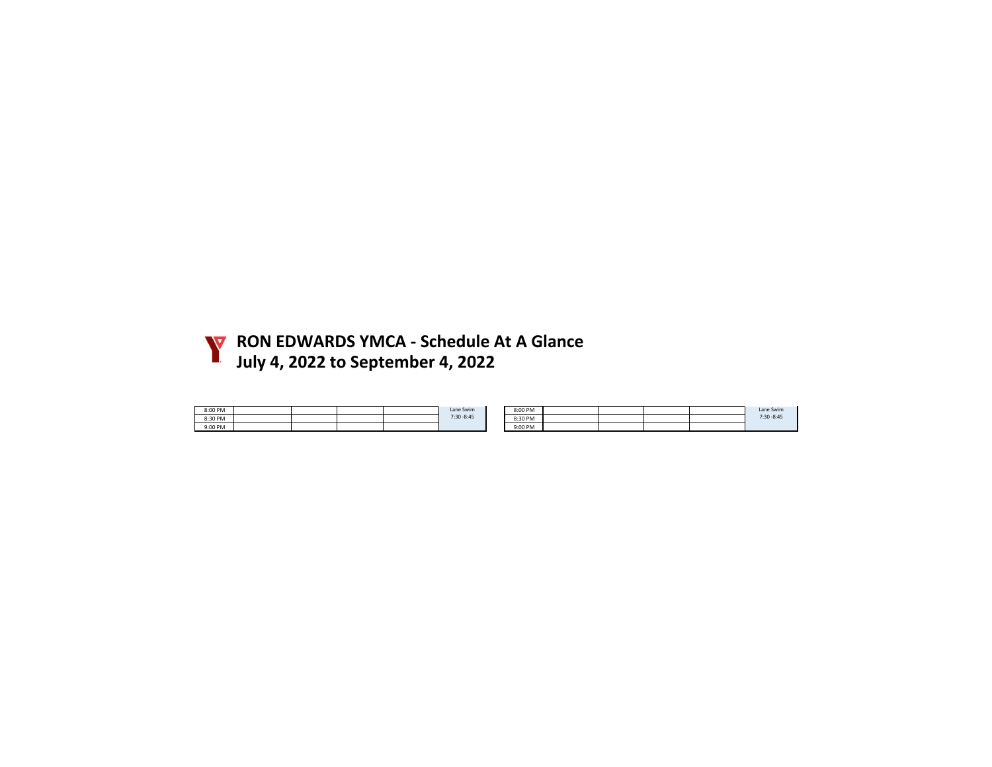

**RON EDWARDS YMCA - Schedule At A Glance July 4, 2022 to September 4, 2022**

| 8:00 PM |  |  | Lane Swim     | 8:00 PM |  |  | Lane Swim     |
|---------|--|--|---------------|---------|--|--|---------------|
| 8:30 PM |  |  | $7:30 - 8:45$ | 8:30 PM |  |  | $7:30 - 8:45$ |
| 9:00 PM |  |  |               | 9:00 PM |  |  |               |